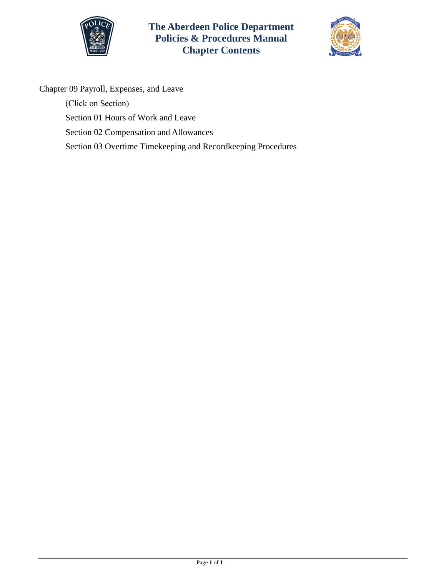

**The Aberdeen Police Department Policies & Procedures Manual Chapter Contents**



Chapter 09 Payroll, Expenses, and Leave

(Click on Section) Section [01 Hours of Work and Leave](#page-1-0)  [Section 02 Compensation and Allowances](#page-5-0)  [Section 03 Overtime Timekeeping and Recordkeeping Procedures](#page-9-0)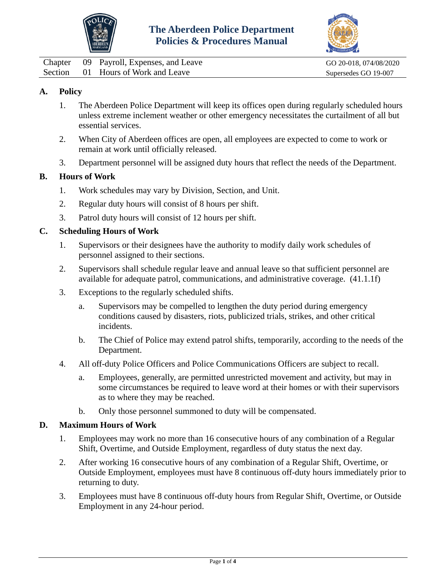



<span id="page-1-0"></span>

|  | Chapter 09 Payroll, Expenses, and Leave |
|--|-----------------------------------------|
|  | Section 01 Hours of Work and Leave      |

GO 20-018, 074/08/2020 Supersedes GO 19-007

# **A. Policy**

- 1. The Aberdeen Police Department will keep its offices open during regularly scheduled hours unless extreme inclement weather or other emergency necessitates the curtailment of all but essential services.
- 2. When City of Aberdeen offices are open, all employees are expected to come to work or remain at work until officially released.
- 3. Department personnel will be assigned duty hours that reflect the needs of the Department.

## **B. Hours of Work**

- 1. Work schedules may vary by Division, Section, and Unit.
- 2. Regular duty hours will consist of 8 hours per shift.
- 3. Patrol duty hours will consist of 12 hours per shift.

#### **C. Scheduling Hours of Work**

- 1. Supervisors or their designees have the authority to modify daily work schedules of personnel assigned to their sections.
- 2. Supervisors shall schedule regular leave and annual leave so that sufficient personnel are available for adequate patrol, communications, and administrative coverage. (41.1.1f)
- 3. Exceptions to the regularly scheduled shifts.
	- a. Supervisors may be compelled to lengthen the duty period during emergency conditions caused by disasters, riots, publicized trials, strikes, and other critical incidents.
	- b. The Chief of Police may extend patrol shifts, temporarily, according to the needs of the Department.
- 4. All off-duty Police Officers and Police Communications Officers are subject to recall.
	- a. Employees, generally, are permitted unrestricted movement and activity, but may in some circumstances be required to leave word at their homes or with their supervisors as to where they may be reached.
	- b. Only those personnel summoned to duty will be compensated.

#### **D. Maximum Hours of Work**

- 1. Employees may work no more than 16 consecutive hours of any combination of a Regular Shift, Overtime, and Outside Employment, regardless of duty status the next day.
- 2. After working 16 consecutive hours of any combination of a Regular Shift, Overtime, or Outside Employment, employees must have 8 continuous off-duty hours immediately prior to returning to duty.
- 3. Employees must have 8 continuous off-duty hours from Regular Shift, Overtime, or Outside Employment in any 24-hour period.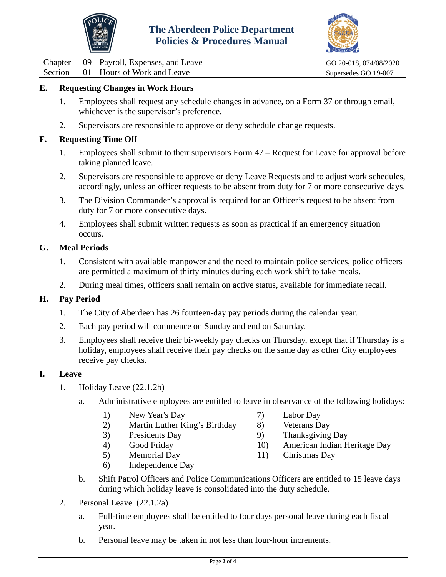



Chapter 09 Payroll, Expenses, and Leave GO 20-018, 074/08/2020<br>
Section 01 Hours of Work and Leave Supersedes GO 19-007 01 Hours of Work and Leave Supersedes GO 19-007

# **E. Requesting Changes in Work Hours**

- 1. Employees shall request any schedule changes in advance, on a Form 37 or through email, whichever is the supervisor's preference.
- 2. Supervisors are responsible to approve or deny schedule change requests.

### **F. Requesting Time Off**

- 1. Employees shall submit to their supervisors Form 47 Request for Leave for approval before taking planned leave.
- 2. Supervisors are responsible to approve or deny Leave Requests and to adjust work schedules, accordingly, unless an officer requests to be absent from duty for 7 or more consecutive days.
- 3. The Division Commander's approval is required for an Officer's request to be absent from duty for 7 or more consecutive days.
- 4. Employees shall submit written requests as soon as practical if an emergency situation occurs.

#### **G. Meal Periods**

- 1. Consistent with available manpower and the need to maintain police services, police officers are permitted a maximum of thirty minutes during each work shift to take meals.
- 2. During meal times, officers shall remain on active status, available for immediate recall.

## **H. Pay Period**

- 1. The City of Aberdeen has 26 fourteen-day pay periods during the calendar year.
- 2. Each pay period will commence on Sunday and end on Saturday.
- 3. Employees shall receive their bi-weekly pay checks on Thursday, except that if Thursday is a holiday, employees shall receive their pay checks on the same day as other City employees receive pay checks.

#### **I. Leave**

- 1. Holiday Leave (22.1.2b)
	- a. Administrative employees are entitled to leave in observance of the following holidays:
		- 1) New Year's Day
		- 2) Martin Luther King's Birthday
		- 3) Presidents Day
		- 4) Good Friday
		- 5) Memorial Day
		- 6) Independence Day
- 7) Labor Day
- 8) Veterans Day
- 9) Thanksgiving Day
- 10) American Indian Heritage Day
- 11) Christmas Day
- b. Shift Patrol Officers and Police Communications Officers are entitled to 15 leave days during which holiday leave is consolidated into the duty schedule.
- 2. Personal Leave (22.1.2a)
	- a. Full-time employees shall be entitled to four days personal leave during each fiscal year.
	- b. Personal leave may be taken in not less than four-hour increments.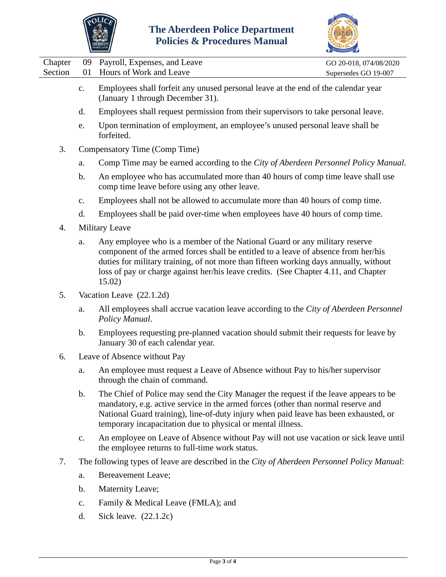



|                    |                |                                                                                                                                                                                                                                                                                                                                                            | CCREDITATION                                   |
|--------------------|----------------|------------------------------------------------------------------------------------------------------------------------------------------------------------------------------------------------------------------------------------------------------------------------------------------------------------------------------------------------------------|------------------------------------------------|
| Chapter<br>Section | 09<br>01       | Payroll, Expenses, and Leave<br>Hours of Work and Leave                                                                                                                                                                                                                                                                                                    | GO 20-018, 074/08/2020<br>Supersedes GO 19-007 |
|                    | c.             | Employees shall forfeit any unused personal leave at the end of the calendar year<br>(January 1 through December 31).                                                                                                                                                                                                                                      |                                                |
|                    | d.             | Employees shall request permission from their supervisors to take personal leave.                                                                                                                                                                                                                                                                          |                                                |
|                    | e.             | Upon termination of employment, an employee's unused personal leave shall be<br>forfeited.                                                                                                                                                                                                                                                                 |                                                |
| 3.                 |                | Compensatory Time (Comp Time)                                                                                                                                                                                                                                                                                                                              |                                                |
|                    | a.             | Comp Time may be earned according to the City of Aberdeen Personnel Policy Manual.                                                                                                                                                                                                                                                                         |                                                |
|                    | b.             | An employee who has accumulated more than 40 hours of comp time leave shall use<br>comp time leave before using any other leave.                                                                                                                                                                                                                           |                                                |
|                    | $\mathbf{c}$ . | Employees shall not be allowed to accumulate more than 40 hours of comp time.                                                                                                                                                                                                                                                                              |                                                |
|                    | d.             | Employees shall be paid over-time when employees have 40 hours of comp time.                                                                                                                                                                                                                                                                               |                                                |
| $\overline{4}$ .   |                | <b>Military Leave</b>                                                                                                                                                                                                                                                                                                                                      |                                                |
|                    | a.             | Any employee who is a member of the National Guard or any military reserve<br>component of the armed forces shall be entitled to a leave of absence from her/his<br>duties for military training, of not more than fifteen working days annually, without<br>loss of pay or charge against her/his leave credits. (See Chapter 4.11, and Chapter<br>15.02) |                                                |
| 5.                 |                | Vacation Leave (22.1.2d)                                                                                                                                                                                                                                                                                                                                   |                                                |
|                    | a.             | All employees shall accrue vacation leave according to the City of Aberdeen Personnel<br>Policy Manual.                                                                                                                                                                                                                                                    |                                                |
|                    | b.             | Employees requesting pre-planned vacation should submit their requests for leave by<br>January 30 of each calendar year.                                                                                                                                                                                                                                   |                                                |
| 6.                 |                | Leave of Absence without Pay                                                                                                                                                                                                                                                                                                                               |                                                |
|                    | a.             | An employee must request a Leave of Absence without Pay to his/her supervisor<br>through the chain of command.                                                                                                                                                                                                                                             |                                                |
|                    | $\mathbf{b}$ . | The Chief of Police may send the City Manager the request if the leave appears to be<br>mandatory, e.g. active service in the armed forces (other than normal reserve and<br>National Guard training), line-of-duty injury when paid leave has been exhausted, or<br>temporary incapacitation due to physical or mental illness.                           |                                                |
|                    | c.             | An employee on Leave of Absence without Pay will not use vacation or sick leave until<br>the employee returns to full-time work status.                                                                                                                                                                                                                    |                                                |
| 7.                 |                | The following types of leave are described in the City of Aberdeen Personnel Policy Manual:                                                                                                                                                                                                                                                                |                                                |
|                    | a.             | <b>Bereavement Leave;</b>                                                                                                                                                                                                                                                                                                                                  |                                                |
|                    | b.             | Maternity Leave;                                                                                                                                                                                                                                                                                                                                           |                                                |
|                    | $\mathbf{c}$ . | Family & Medical Leave (FMLA); and                                                                                                                                                                                                                                                                                                                         |                                                |
|                    | d.             | Sick leave. $(22.1.2c)$                                                                                                                                                                                                                                                                                                                                    |                                                |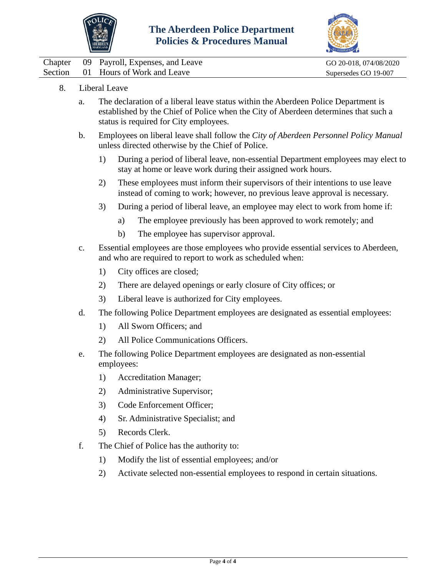



|  | Chapter 09 Payroll, Expenses, and Leave | GO 20-018, 074/08/2020 |
|--|-----------------------------------------|------------------------|
|  | Section 01 Hours of Work and Leave      | Supersedes GO 19-007   |

- 8. Liberal Leave
	- a. The declaration of a liberal leave status within the Aberdeen Police Department is established by the Chief of Police when the City of Aberdeen determines that such a status is required for City employees.
	- b. Employees on liberal leave shall follow the *City of Aberdeen Personnel Policy Manual* unless directed otherwise by the Chief of Police.
		- 1) During a period of liberal leave, non-essential Department employees may elect to stay at home or leave work during their assigned work hours.
		- 2) These employees must inform their supervisors of their intentions to use leave instead of coming to work; however, no previous leave approval is necessary.
		- 3) During a period of liberal leave, an employee may elect to work from home if:
			- a) The employee previously has been approved to work remotely; and
			- b) The employee has supervisor approval.
	- c. Essential employees are those employees who provide essential services to Aberdeen, and who are required to report to work as scheduled when:
		- 1) City offices are closed;
		- 2) There are delayed openings or early closure of City offices; or
		- 3) Liberal leave is authorized for City employees.
	- d. The following Police Department employees are designated as essential employees:
		- 1) All Sworn Officers; and
		- 2) All Police Communications Officers.
	- e. The following Police Department employees are designated as non-essential employees:
		- 1) Accreditation Manager;
		- 2) Administrative Supervisor;
		- 3) Code Enforcement Officer;
		- 4) Sr. Administrative Specialist; and
		- 5) Records Clerk.
	- f. The Chief of Police has the authority to:
		- 1) Modify the list of essential employees; and/or
		- 2) Activate selected non-essential employees to respond in certain situations.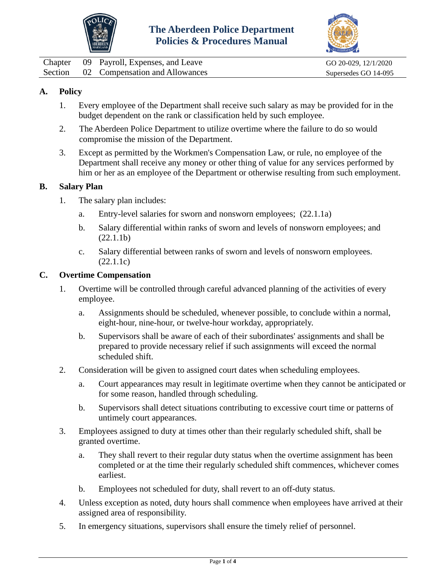



<span id="page-5-0"></span>

|  | Chapter 09 Payroll, Expenses, and Leave | GO 20-029, 12/1/2020 |
|--|-----------------------------------------|----------------------|
|  | Section 02 Compensation and Allowances  | Supersedes GO 14-095 |

# **A. Policy**

- 1. Every employee of the Department shall receive such salary as may be provided for in the budget dependent on the rank or classification held by such employee.
- 2. The Aberdeen Police Department to utilize overtime where the failure to do so would compromise the mission of the Department.
- 3. Except as permitted by the Workmen's Compensation Law, or rule, no employee of the Department shall receive any money or other thing of value for any services performed by him or her as an employee of the Department or otherwise resulting from such employment.

#### **B. Salary Plan**

- 1. The salary plan includes:
	- a. Entry-level salaries for sworn and nonsworn employees; (22.1.1a)
	- b. Salary differential within ranks of sworn and levels of nonsworn employees; and (22.1.1b)
	- c. Salary differential between ranks of sworn and levels of nonsworn employees. (22.1.1c)

#### **C. Overtime Compensation**

- 1. Overtime will be controlled through careful advanced planning of the activities of every employee.
	- a. Assignments should be scheduled, whenever possible, to conclude within a normal, eight-hour, nine-hour, or twelve-hour workday, appropriately.
	- b. Supervisors shall be aware of each of their subordinates' assignments and shall be prepared to provide necessary relief if such assignments will exceed the normal scheduled shift.
- 2. Consideration will be given to assigned court dates when scheduling employees.
	- a. Court appearances may result in legitimate overtime when they cannot be anticipated or for some reason, handled through scheduling.
	- b. Supervisors shall detect situations contributing to excessive court time or patterns of untimely court appearances.
- 3. Employees assigned to duty at times other than their regularly scheduled shift, shall be granted overtime.
	- a. They shall revert to their regular duty status when the overtime assignment has been completed or at the time their regularly scheduled shift commences, whichever comes earliest.
	- b. Employees not scheduled for duty, shall revert to an off-duty status.
- 4. Unless exception as noted, duty hours shall commence when employees have arrived at their assigned area of responsibility.
- 5. In emergency situations, supervisors shall ensure the timely relief of personnel.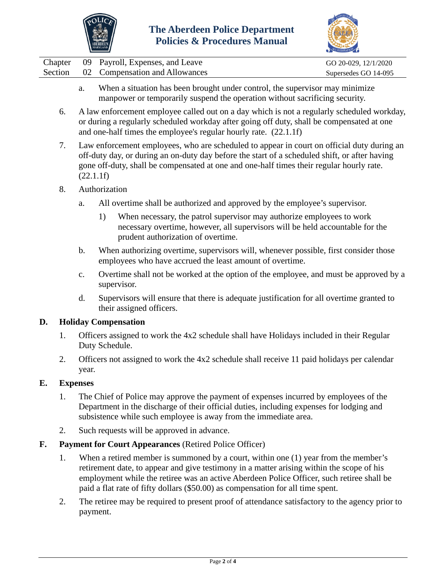



|  | Chapter 09 Payroll, Expenses, and Leave | GO 20-029, 12/1/2020 |
|--|-----------------------------------------|----------------------|
|  | Section 02 Compensation and Allowances  | Supersedes GO 14-095 |

- a. When a situation has been brought under control, the supervisor may minimize manpower or temporarily suspend the operation without sacrificing security.
- 6. A law enforcement employee called out on a day which is not a regularly scheduled workday, or during a regularly scheduled workday after going off duty, shall be compensated at one and one-half times the employee's regular hourly rate. (22.1.1f)
- 7. Law enforcement employees, who are scheduled to appear in court on official duty during an off-duty day, or during an on-duty day before the start of a scheduled shift, or after having gone off-duty, shall be compensated at one and one-half times their regular hourly rate. (22.1.1f)
- 8. Authorization
	- a. All overtime shall be authorized and approved by the employee's supervisor.
		- 1) When necessary, the patrol supervisor may authorize employees to work necessary overtime, however, all supervisors will be held accountable for the prudent authorization of overtime.
	- b. When authorizing overtime, supervisors will, whenever possible, first consider those employees who have accrued the least amount of overtime.
	- c. Overtime shall not be worked at the option of the employee, and must be approved by a supervisor.
	- d. Supervisors will ensure that there is adequate justification for all overtime granted to their assigned officers.

## **D. Holiday Compensation**

- 1. Officers assigned to work the 4x2 schedule shall have Holidays included in their Regular Duty Schedule.
- 2. Officers not assigned to work the 4x2 schedule shall receive 11 paid holidays per calendar year.

## **E. Expenses**

- 1. The Chief of Police may approve the payment of expenses incurred by employees of the Department in the discharge of their official duties, including expenses for lodging and subsistence while such employee is away from the immediate area.
- 2. Such requests will be approved in advance.
- **F. Payment for Court Appearances** (Retired Police Officer)
	- 1. When a retired member is summoned by a court, within one (1) year from the member's retirement date, to appear and give testimony in a matter arising within the scope of his employment while the retiree was an active Aberdeen Police Officer, such retiree shall be paid a flat rate of fifty dollars (\$50.00) as compensation for all time spent.
	- 2. The retiree may be required to present proof of attendance satisfactory to the agency prior to payment.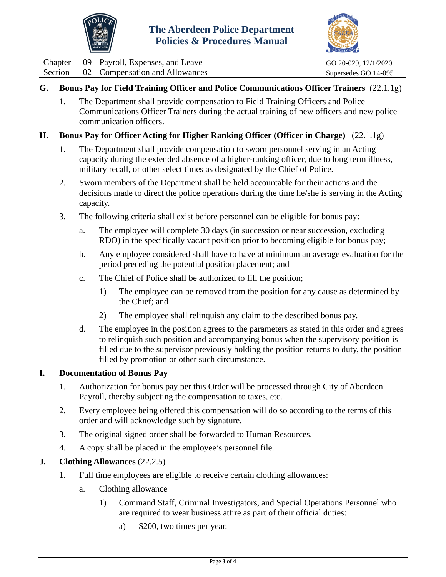



|  | Chapter 09 Payroll, Expenses, and Leave | GO 20-029, 12/1/2020 |
|--|-----------------------------------------|----------------------|
|  | Section 02 Compensation and Allowances  | Supersedes GO 14-095 |

# **G. Bonus Pay for Field Training Officer and Police Communications Officer Trainers** (22.1.1g)

1. The Department shall provide compensation to Field Training Officers and Police Communications Officer Trainers during the actual training of new officers and new police communication officers.

#### **H. Bonus Pay for Officer Acting for Higher Ranking Officer (Officer in Charge)** (22.1.1g)

- 1. The Department shall provide compensation to sworn personnel serving in an Acting capacity during the extended absence of a higher-ranking officer, due to long term illness, military recall, or other select times as designated by the Chief of Police.
- 2. Sworn members of the Department shall be held accountable for their actions and the decisions made to direct the police operations during the time he/she is serving in the Acting capacity.
- 3. The following criteria shall exist before personnel can be eligible for bonus pay:
	- a. The employee will complete 30 days (in succession or near succession, excluding RDO) in the specifically vacant position prior to becoming eligible for bonus pay;
	- b. Any employee considered shall have to have at minimum an average evaluation for the period preceding the potential position placement; and
	- c. The Chief of Police shall be authorized to fill the position;
		- 1) The employee can be removed from the position for any cause as determined by the Chief; and
		- 2) The employee shall relinquish any claim to the described bonus pay.
	- d. The employee in the position agrees to the parameters as stated in this order and agrees to relinquish such position and accompanying bonus when the supervisory position is filled due to the supervisor previously holding the position returns to duty, the position filled by promotion or other such circumstance.

#### **I. Documentation of Bonus Pay**

- 1. Authorization for bonus pay per this Order will be processed through City of Aberdeen Payroll, thereby subjecting the compensation to taxes, etc.
- 2. Every employee being offered this compensation will do so according to the terms of this order and will acknowledge such by signature.
- 3. The original signed order shall be forwarded to Human Resources.
- 4. A copy shall be placed in the employee's personnel file.

## **J. Clothing Allowances** (22.2.5)

- 1. Full time employees are eligible to receive certain clothing allowances:
	- a. Clothing allowance
		- 1) Command Staff, Criminal Investigators, and Special Operations Personnel who are required to wear business attire as part of their official duties:
			- a) \$200, two times per year.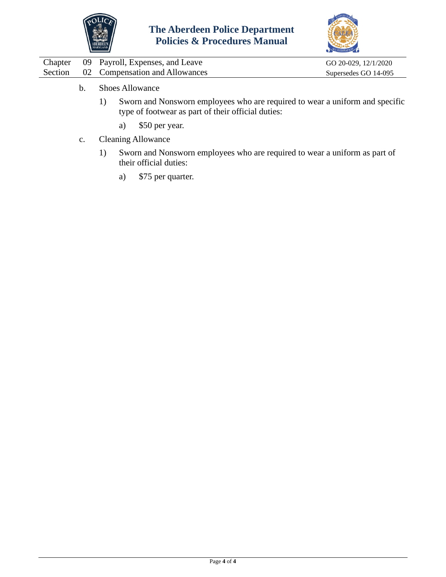



|  | Chapter 09 Payroll, Expenses, and Leave | GO 20-029, 12/1/2020 |
|--|-----------------------------------------|----------------------|
|  | Section 02 Compensation and Allowances  | Supersedes GO 14-095 |

- b. Shoes Allowance
	- 1) Sworn and Nonsworn employees who are required to wear a uniform and specific type of footwear as part of their official duties:
		- a) \$50 per year.
- c. Cleaning Allowance
	- 1) Sworn and Nonsworn employees who are required to wear a uniform as part of their official duties:
		- a) \$75 per quarter.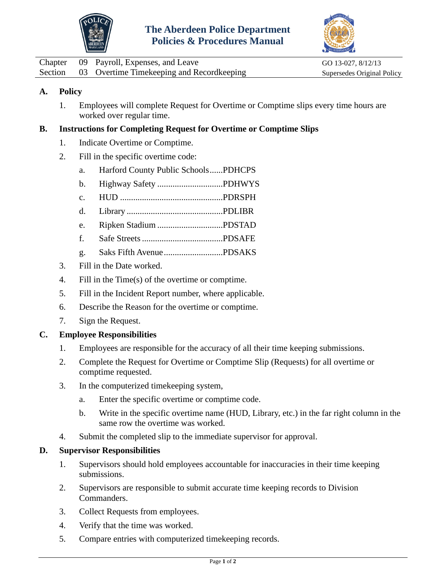



<span id="page-9-0"></span>

|  | Chapter 09 Payroll, Expenses, and Leave           | GO 13-027, 8/12/13         |
|--|---------------------------------------------------|----------------------------|
|  | Section 03 Overtime Timekeeping and Recordkeeping | Supersedes Original Policy |

# **A. Policy**

1. Employees will complete Request for Overtime or Comptime slips every time hours are worked over regular time.

## **B. Instructions for Completing Request for Overtime or Comptime Slips**

- 1. Indicate Overtime or Comptime.
- 2. Fill in the specific overtime code:
	- a. Harford County Public Schools......PDHCPS
	- b. Highway Safety ..............................PDHWYS
	- c. HUD ...............................................PDRSPH
	- d. Library ............................................PDLIBR
	- e. Ripken Stadium ..............................PDSTAD
	- f. Safe Streets.....................................PDSAFE
	- g. Saks Fifth Avenue...........................PDSAKS
- 3. Fill in the Date worked.
- 4. Fill in the Time(s) of the overtime or comptime.
- 5. Fill in the Incident Report number, where applicable.
- 6. Describe the Reason for the overtime or comptime.
- 7. Sign the Request.

## **C. Employee Responsibilities**

- 1. Employees are responsible for the accuracy of all their time keeping submissions.
- 2. Complete the Request for Overtime or Comptime Slip (Requests) for all overtime or comptime requested.
- 3. In the computerized timekeeping system,
	- a. Enter the specific overtime or comptime code.
	- b. Write in the specific overtime name (HUD, Library, etc.) in the far right column in the same row the overtime was worked.
- 4. Submit the completed slip to the immediate supervisor for approval.

## **D. Supervisor Responsibilities**

- 1. Supervisors should hold employees accountable for inaccuracies in their time keeping submissions.
- 2. Supervisors are responsible to submit accurate time keeping records to Division Commanders.
- 3. Collect Requests from employees.
- 4. Verify that the time was worked.
- 5. Compare entries with computerized timekeeping records.